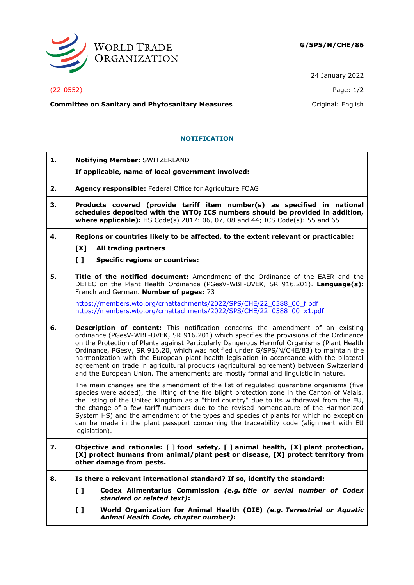

24 January 2022

## (22-0552) Page: 1/2

**Committee on Sanitary and Phytosanitary Measures Committee on Sanitary and Phytosanitary Measures Committee And American** 

## **NOTIFICATION**

**1. Notifying Member:** SWITZERLAND **If applicable, name of local government involved: 2. Agency responsible:** Federal Office for Agriculture FOAG **3. Products covered (provide tariff item number(s) as specified in national schedules deposited with the WTO; ICS numbers should be provided in addition, where applicable):** HS Code(s) 2017: 06, 07, 08 and 44; ICS Code(s): 55 and 65 **4. Regions or countries likely to be affected, to the extent relevant or practicable: [X] All trading partners [ ] Specific regions or countries: 5. Title of the notified document:** Amendment of the Ordinance of the EAER and the DETEC on the Plant Health Ordinance (PGesV-WBF-UVEK, SR 916.201). **Language(s):** French and German. **Number of pages:** 73 [https://members.wto.org/crnattachments/2022/SPS/CHE/22\\_0588\\_00\\_f.pdf](https://members.wto.org/crnattachments/2022/SPS/CHE/22_0588_00_f.pdf) [https://members.wto.org/crnattachments/2022/SPS/CHE/22\\_0588\\_00\\_x1.pdf](https://members.wto.org/crnattachments/2022/SPS/CHE/22_0588_00_x1.pdf) **6. Description of content:** This notification concerns the amendment of an existing ordinance (PGesV-WBF-UVEK, SR 916.201) which specifies the provisions of the Ordinance on the Protection of Plants against Particularly Dangerous Harmful Organisms (Plant Health Ordinance, PGesV, SR 916.20, which was notified under G/SPS/N/CHE/83) to maintain the harmonization with the European plant health legislation in accordance with the bilateral agreement on trade in agricultural products (agricultural agreement) between Switzerland and the European Union. The amendments are mostly formal and linguistic in nature. The main changes are the amendment of the list of regulated quarantine organisms (five species were added), the lifting of the fire blight protection zone in the Canton of Valais, the listing of the United Kingdom as a "third country" due to its withdrawal from the EU, the change of a few tariff numbers due to the revised nomenclature of the Harmonized System HS) and the amendment of the types and species of plants for which no exception can be made in the plant passport concerning the traceability code (alignment with EU legislation). **7. Objective and rationale: [ ] food safety, [ ] animal health, [X] plant protection, [X] protect humans from animal/plant pest or disease, [X] protect territory from other damage from pests. 8. Is there a relevant international standard? If so, identify the standard: [ ] Codex Alimentarius Commission** *(e.g. title or serial number of Codex standard or related text)***: [ ] World Organization for Animal Health (OIE)** *(e.g. Terrestrial or Aquatic Animal Health Code, chapter number)***:**